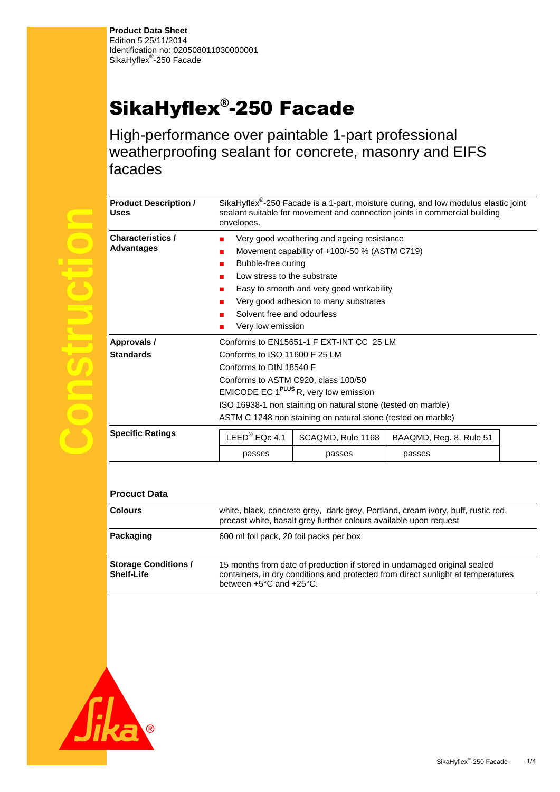## SikaHyflex® -250 Facade

High-performance over paintable 1-part professional weatherproofing sealant for concrete, masonry and EIFS facades

| <b>Product Description /</b><br><b>Uses</b> | SikaHyflex <sup>®</sup> -250 Facade is a 1-part, moisture curing, and low modulus elastic joint<br>sealant suitable for movement and connection joints in commercial building<br>envelopes. |                                                              |                         |  |
|---------------------------------------------|---------------------------------------------------------------------------------------------------------------------------------------------------------------------------------------------|--------------------------------------------------------------|-------------------------|--|
| <b>Characteristics /</b>                    | Very good weathering and ageing resistance<br>п                                                                                                                                             |                                                              |                         |  |
| <b>Advantages</b>                           | Movement capability of +100/-50 % (ASTM C719)<br>ш                                                                                                                                          |                                                              |                         |  |
|                                             | Bubble-free curing<br>п                                                                                                                                                                     |                                                              |                         |  |
|                                             | Low stress to the substrate<br>п                                                                                                                                                            |                                                              |                         |  |
|                                             | Easy to smooth and very good workability<br>ш                                                                                                                                               |                                                              |                         |  |
|                                             | Very good adhesion to many substrates                                                                                                                                                       |                                                              |                         |  |
|                                             | Solvent free and odourless                                                                                                                                                                  |                                                              |                         |  |
|                                             | Very low emission                                                                                                                                                                           |                                                              |                         |  |
| Approvals /                                 | Conforms to EN15651-1 F EXT-INT CC 25 LM                                                                                                                                                    |                                                              |                         |  |
| <b>Standards</b>                            | Conforms to ISO 11600 F 25 LM                                                                                                                                                               |                                                              |                         |  |
|                                             | Conforms to DIN 18540 F                                                                                                                                                                     |                                                              |                         |  |
|                                             | Conforms to ASTM C920, class 100/50                                                                                                                                                         |                                                              |                         |  |
|                                             | EMICODE EC 1 <sup>PLUS</sup> R, very low emission                                                                                                                                           |                                                              |                         |  |
|                                             | ISO 16938-1 non staining on natural stone (tested on marble)                                                                                                                                |                                                              |                         |  |
|                                             |                                                                                                                                                                                             | ASTM C 1248 non staining on natural stone (tested on marble) |                         |  |
| <b>Specific Ratings</b>                     | $LEED®$ EQc 4.1                                                                                                                                                                             | SCAQMD, Rule 1168                                            | BAAQMD, Reg. 8, Rule 51 |  |
|                                             | passes                                                                                                                                                                                      | passes                                                       | passes                  |  |
|                                             |                                                                                                                                                                                             |                                                              |                         |  |
|                                             |                                                                                                                                                                                             |                                                              |                         |  |
| <b>Procuct Data</b>                         |                                                                                                                                                                                             |                                                              |                         |  |

| <b>Colours</b>                                   | white, black, concrete grey, dark grey, Portland, cream ivory, buff, rustic red,<br>precast white, basalt grey further colours available upon request                                                       |
|--------------------------------------------------|-------------------------------------------------------------------------------------------------------------------------------------------------------------------------------------------------------------|
| Packaging                                        | 600 ml foil pack, 20 foil packs per box                                                                                                                                                                     |
| <b>Storage Conditions /</b><br><b>Shelf-Life</b> | 15 months from date of production if stored in undamaged original sealed<br>containers, in dry conditions and protected from direct sunlight at temperatures<br>between $+5^{\circ}$ C and $+25^{\circ}$ C. |



**Construction**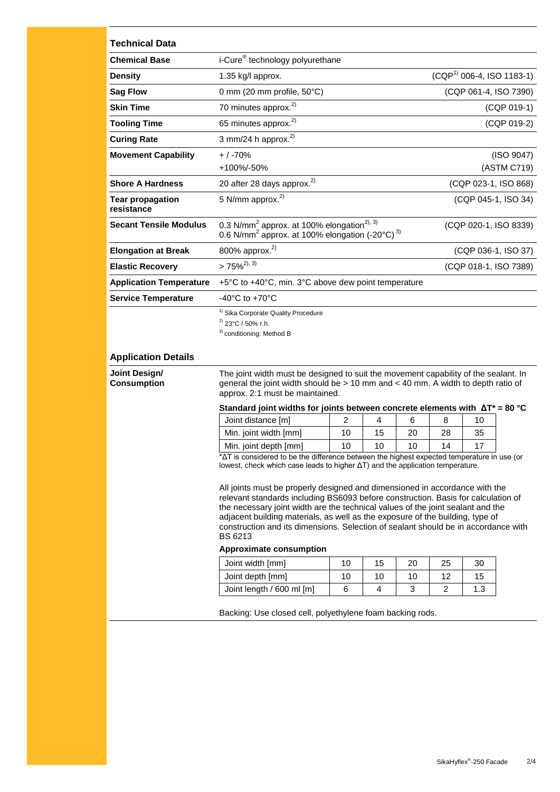| <b>Technical Data</b>                 |                                                                                                                                                                                                                                                                                                                                                                                                                                              |                             |    |    |                |     |                       |
|---------------------------------------|----------------------------------------------------------------------------------------------------------------------------------------------------------------------------------------------------------------------------------------------------------------------------------------------------------------------------------------------------------------------------------------------------------------------------------------------|-----------------------------|----|----|----------------|-----|-----------------------|
| <b>Chemical Base</b>                  | i-Cure <sup>®</sup> technology polyurethane                                                                                                                                                                                                                                                                                                                                                                                                  |                             |    |    |                |     |                       |
| <b>Density</b>                        | 1.35 kg/l approx.                                                                                                                                                                                                                                                                                                                                                                                                                            | $(CQP1)$ 006-4, ISO 1183-1) |    |    |                |     |                       |
| <b>Sag Flow</b>                       | 0 mm (20 mm profile, 50°C)                                                                                                                                                                                                                                                                                                                                                                                                                   |                             |    |    |                |     | (CQP 061-4, ISO 7390) |
| <b>Skin Time</b>                      | 70 minutes approx. <sup>2)</sup>                                                                                                                                                                                                                                                                                                                                                                                                             |                             |    |    |                |     | (CQP 019-1)           |
| <b>Tooling Time</b>                   | 65 minutes approx. <sup>2)</sup>                                                                                                                                                                                                                                                                                                                                                                                                             |                             |    |    |                |     | (CQP 019-2)           |
| <b>Curing Rate</b>                    | 3 mm/24 h approx. $^{2)}$                                                                                                                                                                                                                                                                                                                                                                                                                    |                             |    |    |                |     |                       |
| <b>Movement Capability</b>            | $+$ / -70%                                                                                                                                                                                                                                                                                                                                                                                                                                   |                             |    |    |                |     | (ISO 9047)            |
|                                       | +100%/-50%                                                                                                                                                                                                                                                                                                                                                                                                                                   |                             |    |    |                |     | (ASTM C719)           |
| <b>Shore A Hardness</b>               | 20 after 28 days approx. <sup>2)</sup><br>(CQP 023-1, ISO 868)                                                                                                                                                                                                                                                                                                                                                                               |                             |    |    |                |     |                       |
| <b>Tear propagation</b><br>resistance | 5 N/mm approx. <sup>2)</sup>                                                                                                                                                                                                                                                                                                                                                                                                                 |                             |    |    |                |     | (CQP 045-1, ISO 34)   |
| <b>Secant Tensile Modulus</b>         | 0.3 N/mm <sup>2</sup> approx. at 100% elongation <sup>2), 3)</sup><br>0.6 N/mm <sup>2</sup> approx. at 100% elongation (-20 $^{\circ}$ C) <sup>3)</sup>                                                                                                                                                                                                                                                                                      |                             |    |    |                |     | (CQP 020-1, ISO 8339) |
| <b>Elongation at Break</b>            | 800% approx. <sup>2)</sup>                                                                                                                                                                                                                                                                                                                                                                                                                   | (CQP 036-1, ISO 37)         |    |    |                |     |                       |
| <b>Elastic Recovery</b>               | $>75\%^{2,3}$<br>(CQP 018-1, ISO 7389)                                                                                                                                                                                                                                                                                                                                                                                                       |                             |    |    |                |     |                       |
| <b>Application Temperature</b>        | +5°C to +40°C, min. 3°C above dew point temperature                                                                                                                                                                                                                                                                                                                                                                                          |                             |    |    |                |     |                       |
| <b>Service Temperature</b>            | -40 $^{\circ}$ C to +70 $^{\circ}$ C                                                                                                                                                                                                                                                                                                                                                                                                         |                             |    |    |                |     |                       |
|                                       | <sup>1)</sup> Sika Corporate Quality Procedure<br>$^{2)}$ 23°C / 50% r.h.<br><sup>3)</sup> conditioning: Method B                                                                                                                                                                                                                                                                                                                            |                             |    |    |                |     |                       |
| <b>Application Details</b>            |                                                                                                                                                                                                                                                                                                                                                                                                                                              |                             |    |    |                |     |                       |
| Joint Design/<br><b>Consumption</b>   | The joint width must be designed to suit the movement capability of the sealant. In<br>general the joint width should be $> 10$ mm and $< 40$ mm. A width to depth ratio of<br>approx. 2:1 must be maintained.                                                                                                                                                                                                                               |                             |    |    |                |     |                       |
|                                       | Standard joint widths for joints between concrete elements with $\Delta T^* = 80$ °C<br>Joint distance [m]                                                                                                                                                                                                                                                                                                                                   | $\overline{2}$              | 4  | 6  | 8              | 10  |                       |
|                                       | Min. joint width [mm]                                                                                                                                                                                                                                                                                                                                                                                                                        | 10                          | 15 | 20 | 28             | 35  |                       |
|                                       | Min. joint depth [mm]                                                                                                                                                                                                                                                                                                                                                                                                                        | 10                          | 10 | 10 | 14             | 17  |                       |
|                                       | AT is considered to be the difference between the highest expected temperature in use (or<br>lowest, check which case leads to higher $\Delta T$ ) and the application temperature.                                                                                                                                                                                                                                                          |                             |    |    |                |     |                       |
|                                       | All joints must be properly designed and dimensioned in accordance with the<br>relevant standards including BS6093 before construction. Basis for calculation of<br>the necessary joint width are the technical values of the joint sealant and the<br>adjacent building materials, as well as the exposure of the building, type of<br>construction and its dimensions. Selection of sealant should be in accordance with<br><b>BS 6213</b> |                             |    |    |                |     |                       |
|                                       | <b>Approximate consumption</b>                                                                                                                                                                                                                                                                                                                                                                                                               |                             |    |    |                |     |                       |
|                                       | Joint width [mm]                                                                                                                                                                                                                                                                                                                                                                                                                             | 10                          | 15 | 20 | 25             | 30  |                       |
|                                       | Joint depth [mm]                                                                                                                                                                                                                                                                                                                                                                                                                             | 10                          | 10 | 10 | 12             | 15  |                       |
|                                       | Joint length / 600 ml [m]                                                                                                                                                                                                                                                                                                                                                                                                                    | 6                           | 4  | 3  | $\overline{2}$ | 1.3 |                       |
|                                       | Backing: Use closed cell, polyethylene foam backing rods.                                                                                                                                                                                                                                                                                                                                                                                    |                             |    |    |                |     |                       |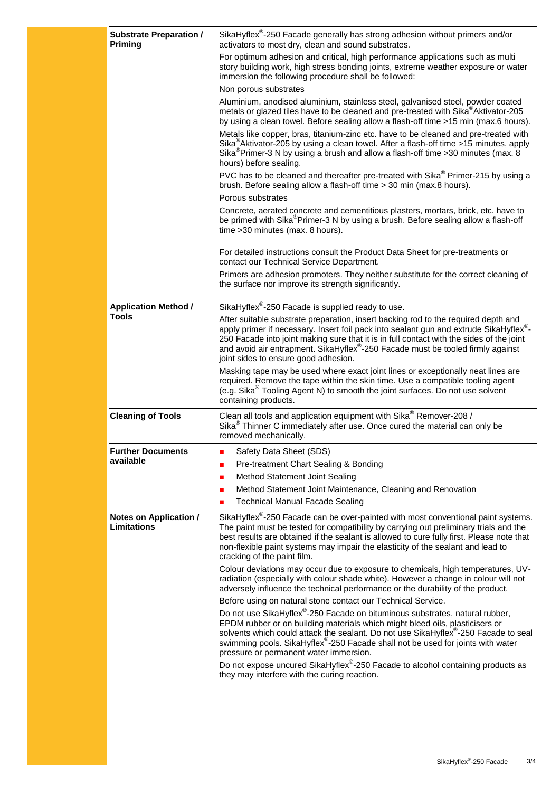| <b>Substrate Preparation /</b><br><b>Priming</b> | SikaHyflex <sup>®</sup> -250 Facade generally has strong adhesion without primers and/or<br>activators to most dry, clean and sound substrates.                                                                                                                                                                                                                                                         |
|--------------------------------------------------|---------------------------------------------------------------------------------------------------------------------------------------------------------------------------------------------------------------------------------------------------------------------------------------------------------------------------------------------------------------------------------------------------------|
|                                                  | For optimum adhesion and critical, high performance applications such as multi<br>story building work, high stress bonding joints, extreme weather exposure or water<br>immersion the following procedure shall be followed:                                                                                                                                                                            |
|                                                  | Non porous substrates                                                                                                                                                                                                                                                                                                                                                                                   |
|                                                  | Aluminium, anodised aluminium, stainless steel, galvanised steel, powder coated<br>metals or glazed tiles have to be cleaned and pre-treated with Sika <sup>®</sup> Aktivator-205<br>by using a clean towel. Before sealing allow a flash-off time >15 min (max.6 hours).                                                                                                                               |
|                                                  | Metals like copper, bras, titanium-zinc etc. have to be cleaned and pre-treated with<br>Sika <sup>®</sup> Aktivator-205 by using a clean towel. After a flash-off time >15 minutes, apply<br>Sika <sup>®</sup> Primer-3 N by using a brush and allow a flash-off time >30 minutes (max. 8<br>hours) before sealing.                                                                                     |
|                                                  | PVC has to be cleaned and thereafter pre-treated with Sika® Primer-215 by using a<br>brush. Before sealing allow a flash-off time > 30 min (max.8 hours).                                                                                                                                                                                                                                               |
|                                                  | Porous substrates                                                                                                                                                                                                                                                                                                                                                                                       |
|                                                  | Concrete, aerated concrete and cementitious plasters, mortars, brick, etc. have to<br>be primed with Sika®Primer-3 N by using a brush. Before sealing allow a flash-off<br>time > 30 minutes (max. 8 hours).                                                                                                                                                                                            |
|                                                  | For detailed instructions consult the Product Data Sheet for pre-treatments or<br>contact our Technical Service Department.                                                                                                                                                                                                                                                                             |
|                                                  | Primers are adhesion promoters. They neither substitute for the correct cleaning of<br>the surface nor improve its strength significantly.                                                                                                                                                                                                                                                              |
| <b>Application Method /</b>                      | SikaHyflex <sup>®</sup> -250 Facade is supplied ready to use.                                                                                                                                                                                                                                                                                                                                           |
| <b>Tools</b>                                     | After suitable substrate preparation, insert backing rod to the required depth and<br>apply primer if necessary. Insert foil pack into sealant gun and extrude SikaHyflex®-<br>250 Facade into joint making sure that it is in full contact with the sides of the joint<br>and avoid air entrapment. SikaHyflex®-250 Facade must be tooled firmly against<br>joint sides to ensure good adhesion.       |
|                                                  | Masking tape may be used where exact joint lines or exceptionally neat lines are<br>required. Remove the tape within the skin time. Use a compatible tooling agent<br>(e.g. Sika <sup>®</sup> Tooling Agent N) to smooth the joint surfaces. Do not use solvent<br>containing products.                                                                                                                 |
| <b>Cleaning of Tools</b>                         | Clean all tools and application equipment with Sika® Remover-208 /<br>Sika <sup>®</sup> Thinner C immediately after use. Once cured the material can only be<br>removed mechanically.                                                                                                                                                                                                                   |
| <b>Further Documents</b>                         | Safety Data Sheet (SDS)                                                                                                                                                                                                                                                                                                                                                                                 |
| available                                        | Pre-treatment Chart Sealing & Bonding                                                                                                                                                                                                                                                                                                                                                                   |
|                                                  | Method Statement Joint Sealing<br>П                                                                                                                                                                                                                                                                                                                                                                     |
|                                                  | Method Statement Joint Maintenance, Cleaning and Renovation<br>П                                                                                                                                                                                                                                                                                                                                        |
|                                                  | <b>Technical Manual Facade Sealing</b>                                                                                                                                                                                                                                                                                                                                                                  |
| Notes on Application /<br><b>Limitations</b>     | SikaHyflex <sup>®</sup> -250 Facade can be over-painted with most conventional paint systems.<br>The paint must be tested for compatibility by carrying out preliminary trials and the<br>best results are obtained if the sealant is allowed to cure fully first. Please note that<br>non-flexible paint systems may impair the elasticity of the sealant and lead to<br>cracking of the paint film.   |
|                                                  | Colour deviations may occur due to exposure to chemicals, high temperatures, UV-<br>radiation (especially with colour shade white). However a change in colour will not<br>adversely influence the technical performance or the durability of the product.                                                                                                                                              |
|                                                  | Before using on natural stone contact our Technical Service.                                                                                                                                                                                                                                                                                                                                            |
|                                                  | Do not use SikaHyflex <sup>®</sup> -250 Facade on bituminous substrates, natural rubber,<br>EPDM rubber or on building materials which might bleed oils, plasticisers or<br>solvents which could attack the sealant. Do not use SikaHyflex®-250 Facade to seal<br>swimming pools. SikaHyflex <sup>®</sup> -250 Facade shall not be used for joints with water<br>pressure or permanent water immersion. |
|                                                  | Do not expose uncured SikaHyflex <sup>®</sup> -250 Facade to alcohol containing products as<br>they may interfere with the curing reaction.                                                                                                                                                                                                                                                             |